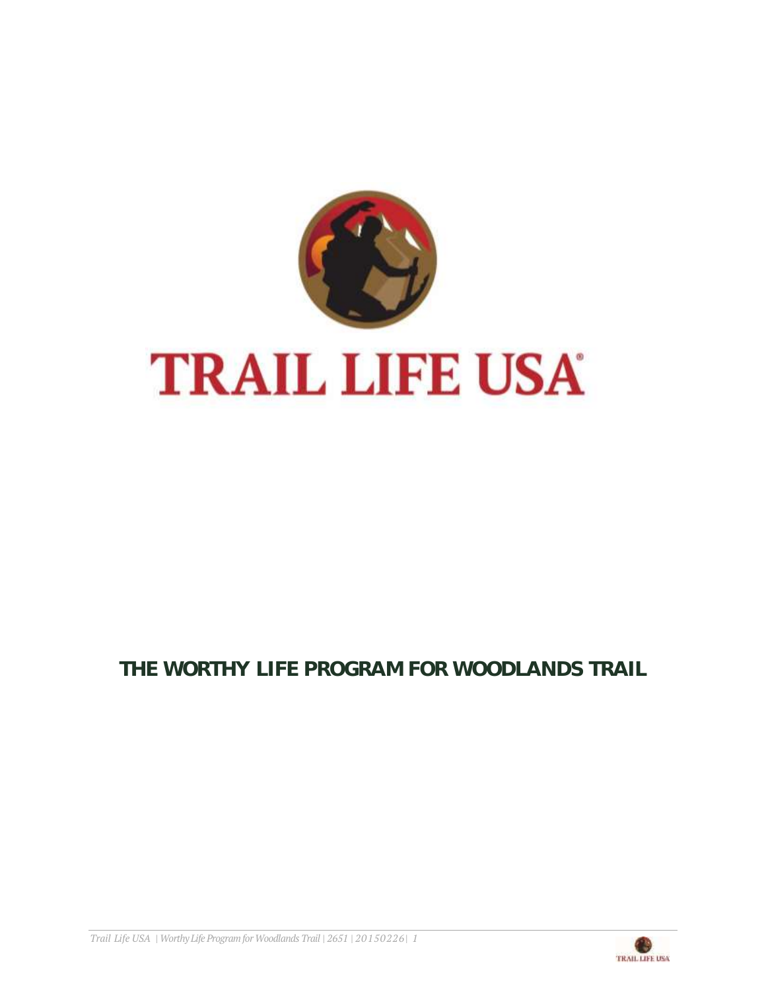

# **THE WORTHY LIFE PROGRAM FOR WOODLANDS TRAIL**



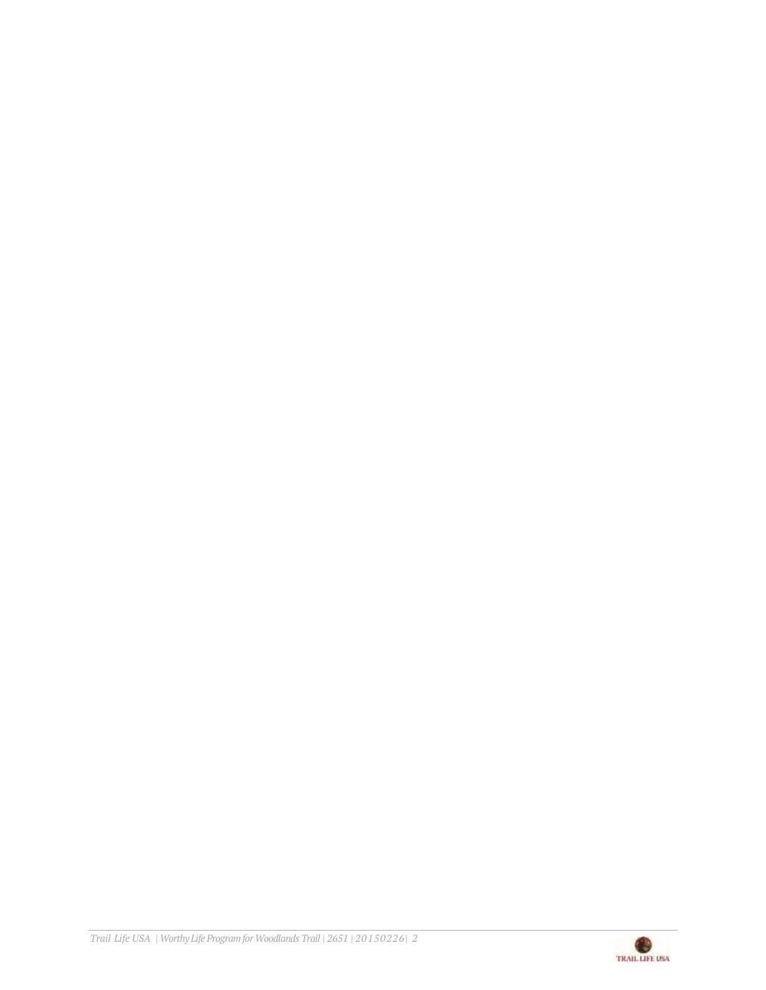

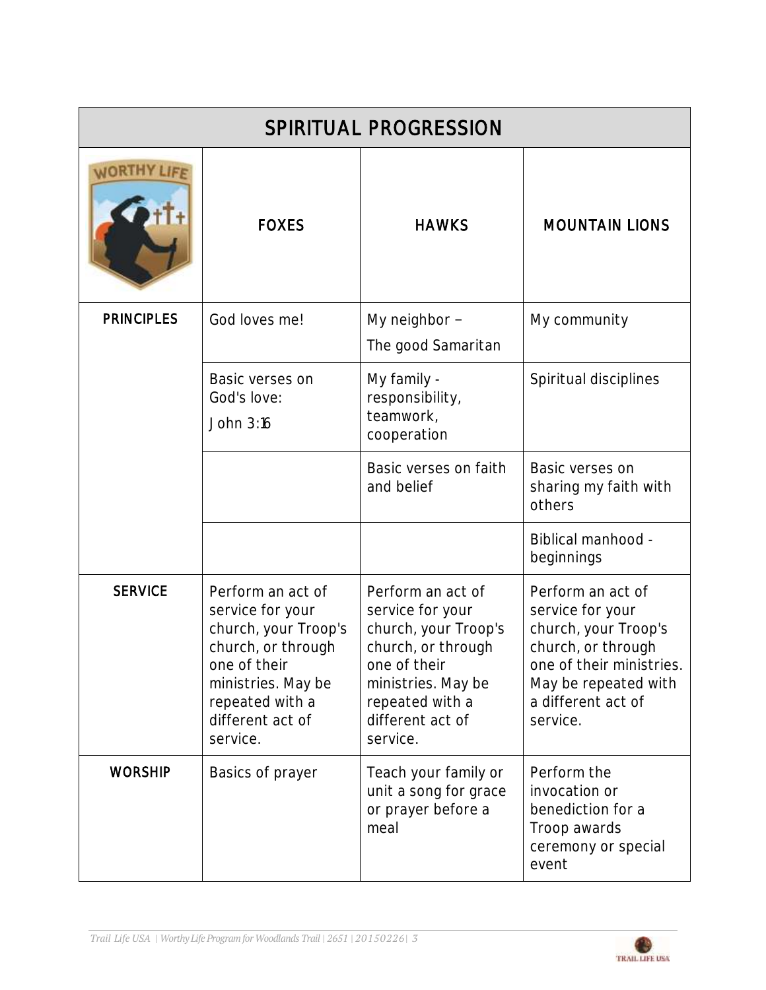| SPIRITUAL PROGRESSION |                                                                                                                                                                              |                                                                                                                                                                              |                                                                                                                                                                           |  |
|-----------------------|------------------------------------------------------------------------------------------------------------------------------------------------------------------------------|------------------------------------------------------------------------------------------------------------------------------------------------------------------------------|---------------------------------------------------------------------------------------------------------------------------------------------------------------------------|--|
|                       | <b>FOXES</b>                                                                                                                                                                 | <b>HAWKS</b>                                                                                                                                                                 | <b>MOUNTAIN LIONS</b>                                                                                                                                                     |  |
| <b>PRINCIPLES</b>     | God loves me!                                                                                                                                                                | My neighbor -<br>The good Samaritan                                                                                                                                          | My community                                                                                                                                                              |  |
|                       | Basic verses on<br>God's love:<br>John 3:16                                                                                                                                  | My family -<br>responsibility,<br>teamwork,<br>cooperation                                                                                                                   | Spiritual disciplines                                                                                                                                                     |  |
|                       |                                                                                                                                                                              | Basic verses on faith<br>and belief                                                                                                                                          | Basic verses on<br>sharing my faith with<br>others                                                                                                                        |  |
|                       |                                                                                                                                                                              |                                                                                                                                                                              | Biblical manhood -<br>beginnings                                                                                                                                          |  |
| <b>SERVICE</b>        | Perform an act of<br>service for your<br>church, your Troop's<br>church, or through<br>one of their<br>ministries. May be<br>repeated with a<br>different act of<br>service. | Perform an act of<br>service for your<br>church, your Troop's<br>church, or through<br>one of their<br>ministries. May be<br>repeated with a<br>different act of<br>service. | Perform an act of<br>service for your<br>church, your Troop's<br>church, or through<br>one of their ministries.<br>May be repeated with<br>a different act of<br>service. |  |
| <b>WORSHIP</b>        | Basics of prayer                                                                                                                                                             | Teach your family or<br>unit a song for grace<br>or prayer before a<br>meal                                                                                                  | Perform the<br>invocation or<br>benediction for a<br>Troop awards<br>ceremony or special<br>event                                                                         |  |

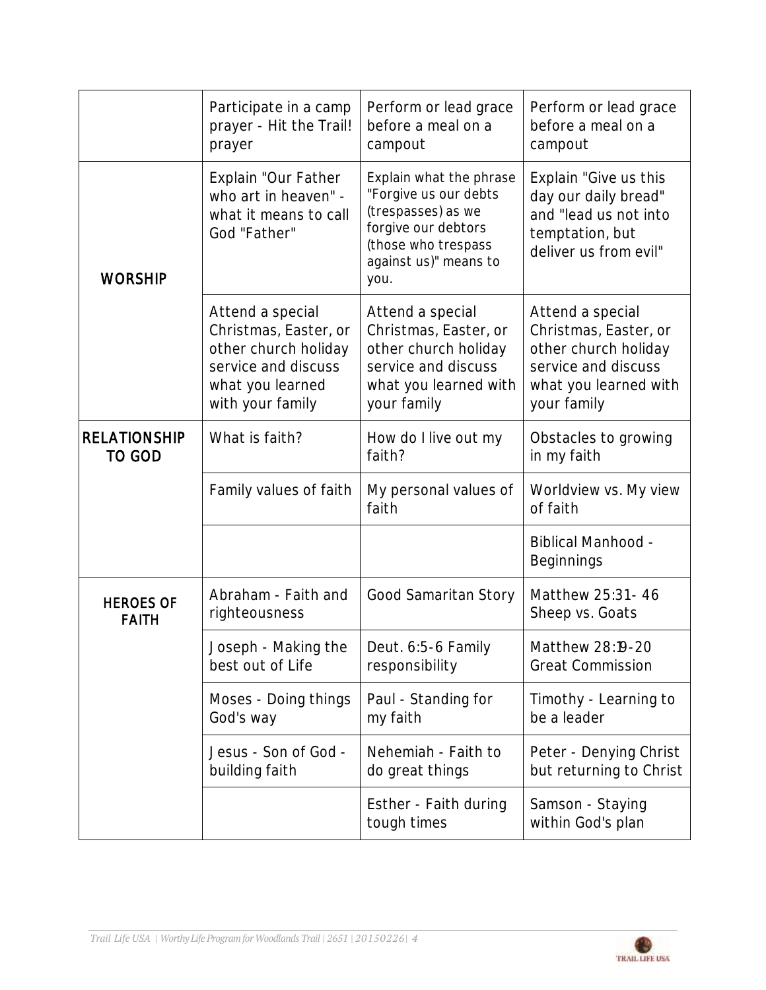|                                  | Participate in a camp<br>prayer - Hit the Trail!<br>prayer                                                                       | Perform or lead grace<br>before a meal on a<br>campout                                                                                                | Perform or lead grace<br>before a meal on a<br>campout                                                                           |
|----------------------------------|----------------------------------------------------------------------------------------------------------------------------------|-------------------------------------------------------------------------------------------------------------------------------------------------------|----------------------------------------------------------------------------------------------------------------------------------|
| <b>WORSHIP</b>                   | Explain "Our Father<br>who art in heaven" -<br>what it means to call<br>God "Father"                                             | Explain what the phrase<br>"Forgive us our debts<br>(trespasses) as we<br>forgive our debtors<br>(those who trespass<br>against us)" means to<br>you. | Explain "Give us this<br>day our daily bread"<br>and "lead us not into<br>temptation, but<br>deliver us from evil"               |
|                                  | Attend a special<br>Christmas, Easter, or<br>other church holiday<br>service and discuss<br>what you learned<br>with your family | Attend a special<br>Christmas, Easter, or<br>other church holiday<br>service and discuss<br>what you learned with<br>your family                      | Attend a special<br>Christmas, Easter, or<br>other church holiday<br>service and discuss<br>what you learned with<br>your family |
| <b>RELATIONSHIP</b><br>TO GOD    | What is faith?                                                                                                                   | How do I live out my<br>faith?                                                                                                                        | Obstacles to growing<br>in my faith                                                                                              |
|                                  | Family values of faith                                                                                                           | My personal values of<br>faith                                                                                                                        | Worldview vs. My view<br>of faith                                                                                                |
|                                  |                                                                                                                                  |                                                                                                                                                       | <b>Biblical Manhood -</b><br>Beginnings                                                                                          |
| <b>HEROES OF</b><br><b>FAITH</b> | Abraham - Faith and<br>righteousness                                                                                             | Good Samaritan Story                                                                                                                                  | Matthew 25:31 - 46<br>Sheep vs. Goats                                                                                            |
|                                  | Joseph - Making the<br>best out of Life                                                                                          | $\vert$ Deut. 6:5-6 Family<br>responsibility                                                                                                          | Matthew 28:19-20<br><b>Great Commission</b>                                                                                      |
|                                  | Moses - Doing things<br>God's way                                                                                                | Paul - Standing for<br>my faith                                                                                                                       | Timothy - Learning to<br>be a leader                                                                                             |
|                                  | Jesus - Son of God -<br>building faith                                                                                           | Nehemiah - Faith to<br>do great things                                                                                                                | Peter - Denying Christ<br>but returning to Christ                                                                                |
|                                  |                                                                                                                                  | Esther - Faith during<br>tough times                                                                                                                  | Samson - Staying<br>within God's plan                                                                                            |

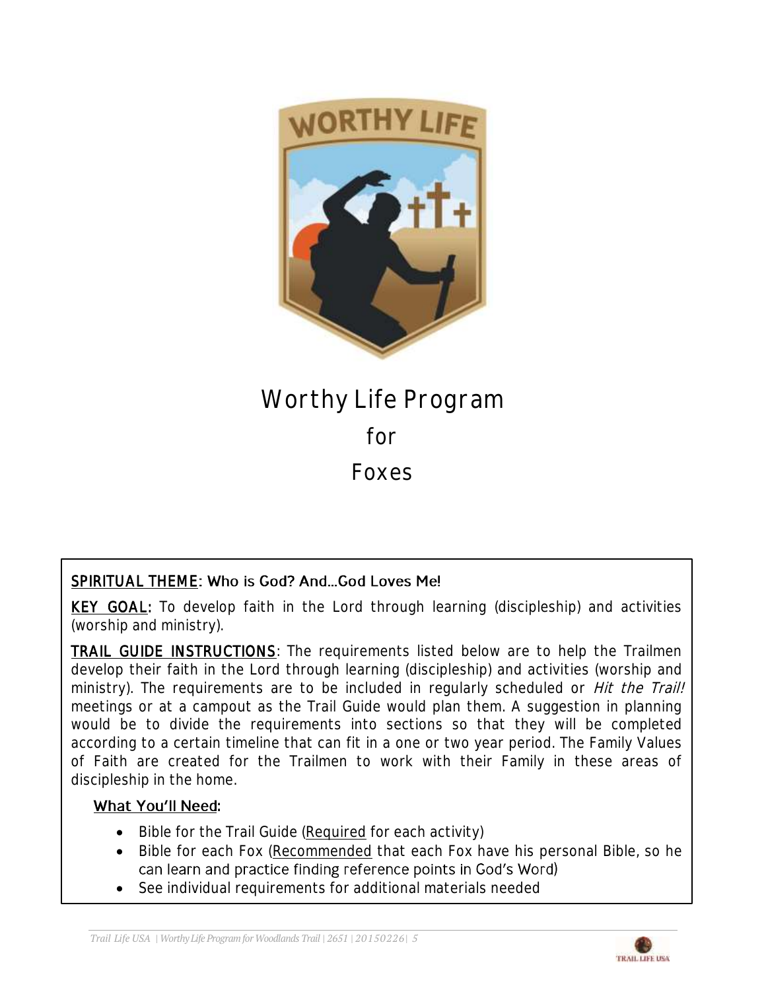

# **Worthy Life Program for Foxes**

## SPIRITUAL THEME: Who is God? And...God Loves Me!

KEY GOAL: To develop faith in the Lord through learning (discipleship) and activities (worship and ministry).

TRAIL GUIDE INSTRUCTIONS: The requirements listed below are to help the Trailmen develop their faith in the Lord through learning (discipleship) and activities (worship and ministry). The requirements are to be included in requiarly scheduled or *Hit the Trail!* meetings or at a campout as the Trail Guide would plan them. A suggestion in planning would be to divide the requirements into sections so that they will be completed according to a certain timeline that can fit in a one or two year period. The Family Values of Faith are created for the Trailmen to work with their Family in these areas of discipleship in the home.

#### **What You'll Need:**

- Bible for the Trail Guide (Required for each activity)
- Bible for each Fox (Recommended that each Fox have his personal Bible, so he can learn and practice finding reference points in God's Word)
- See individual requirements for additional materials needed

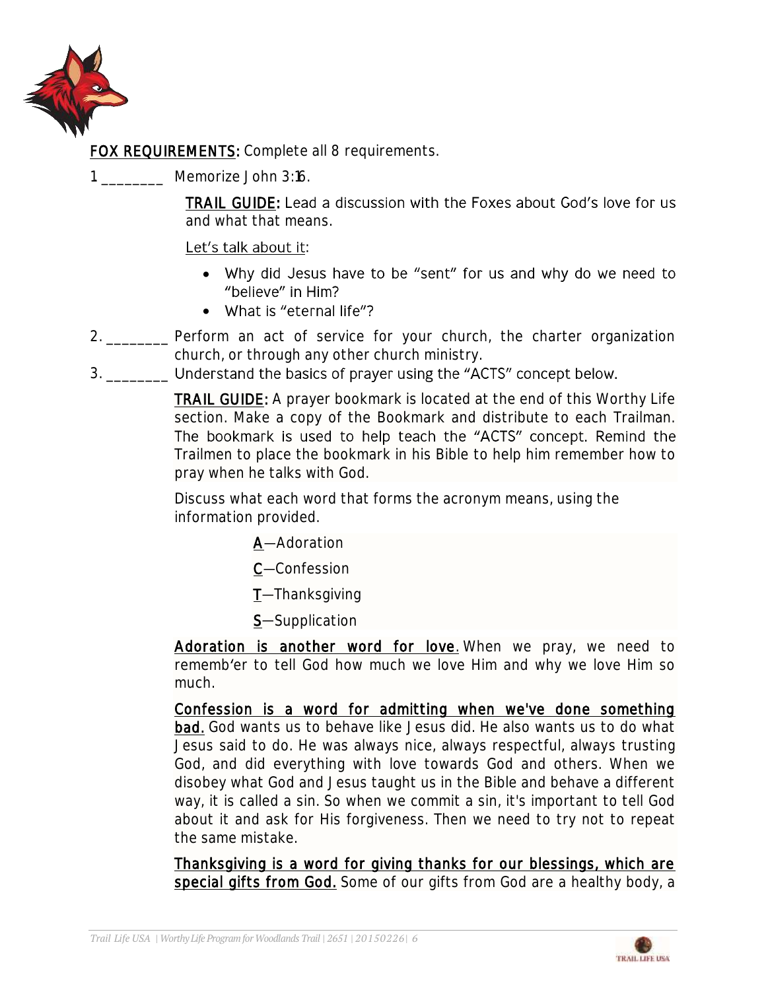

FOX REQUIREMENTS: Complete all 8 requirements.

1. Memorize John 3:16.

TRAIL GUIDE: Lead a discussion with the Foxes about God's love for us and what that means.

#### Let's talk about it:

- Why did Jesus have to be "sent" for us and why do we need to "believe" in Him?
- What is "eternal life"?
- 2. **wie Perform** an act of service for your church, the charter organization church, or through any other church ministry.
- 3. Understand the basics of prayer using the "ACTS" concept below.

TRAIL GUIDE: A prayer bookmark is located at the end of this Worthy Life section. Make a copy of the Bookmark and distribute to each Trailman. The bookmark is used to help teach the "ACTS" concept. Remind the Trailmen to place the bookmark in his Bible to help him remember how to pray when he talks with God.

Discuss what each word that forms the acronym means, using the information provided.

- A-Adoration
- C-Confession
- $I$ -Thanksgiving
- S-Supplication

Adoration is another word for love. When we pray, we need to rememb'er to tell God how much we love Him and why we love Him so much.

Confession is a word for admitting when we've done something bad. God wants us to behave like Jesus did. He also wants us to do what Jesus said to do. He was always nice, always respectful, always trusting God, and did everything with love towards God and others. When we disobey what God and Jesus taught us in the Bible and behave a different way, it is called a sin. So when we commit a sin, it's important to tell God about it and ask for His forgiveness. Then we need to try not to repeat the same mistake.

Thanksgiving is a word for giving thanks for our blessings, which are special gifts from God. Some of our gifts from God are a healthy body, a

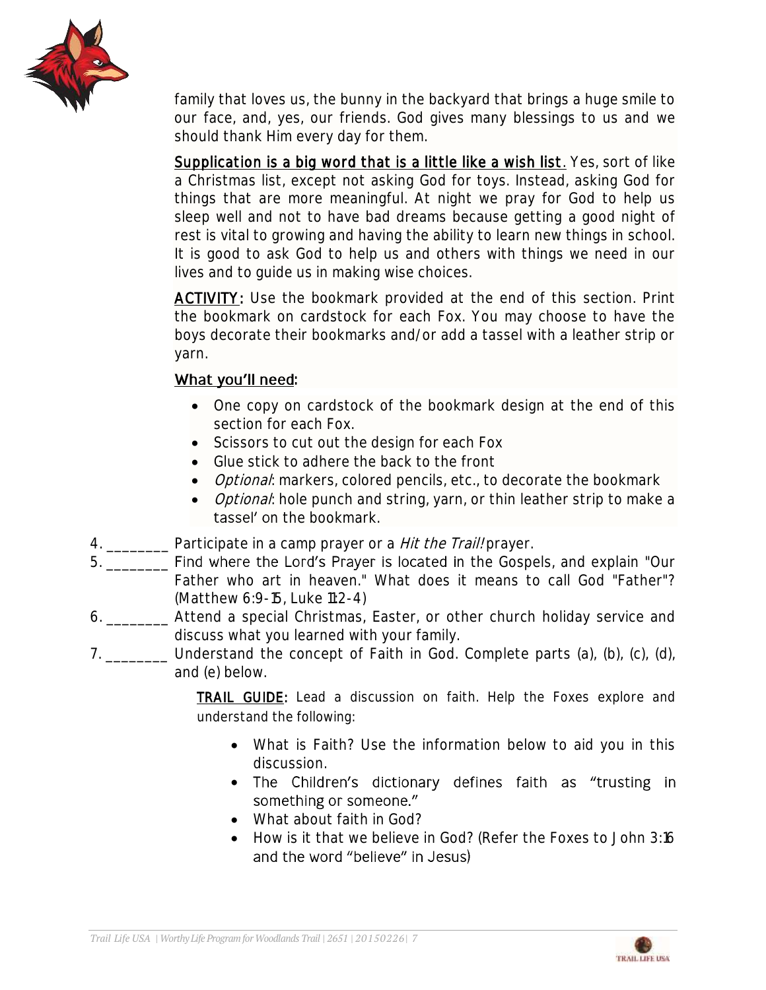

family that loves us, the bunny in the backyard that brings a huge smile to our face, and, yes, our friends. God gives many blessings to us and we should thank Him every day for them.

Supplication is a big word that is a little like a wish list. Yes, sort of like a Christmas list, except not asking God for toys. Instead, asking God for things that are more meaningful. At night we pray for God to help us sleep well and not to have bad dreams because getting a good night of rest is vital to growing and having the ability to learn new things in school. It is good to ask God to help us and others with things we need in our lives and to guide us in making wise choices.

ACTIVITY: Use the bookmark provided at the end of this section. Print the bookmark on cardstock for each Fox. You may choose to have the boys decorate their bookmarks and/or add a tassel with a leather strip or yarn.

#### What you'll need:

- One copy on cardstock of the bookmark design at the end of this section for each Fox.
- Scissors to cut out the design for each Fox
- Glue stick to adhere the back to the front
- Optional: markers, colored pencils, etc., to decorate the bookmark
- *Optional*: hole punch and string, yarn, or thin leather strip to make a tassel' on the bookmark.
- 4. Participate in a camp prayer or a *Hit the Trail!* prayer.
- 5. \_\_\_\_\_\_\_\_ Find where the Lord's Prayer is located in the Gospels, and explain "Our Father who art in heaven." What does it means to call God "Father"? (Matthew 6:9-15, Luke 11:2-4)
- 6. \_\_\_\_\_\_\_\_ Attend a special Christmas, Easter, or other church holiday service and discuss what you learned with your family.
- 7. Understand the concept of Faith in God. Complete parts (a), (b), (c), (d), and (e) below.

TRAIL GUIDE: Lead a discussion on faith. Help the Foxes explore and understand the following:

- What is Faith? Use the information below to aid you in this discussion.
- The Children's dictionary defines faith as "trusting in something or someone."
- What about faith in God?
- How is it that we believe in God? (Refer the Foxes to John 3:16 and the word "believe" in Jesus)

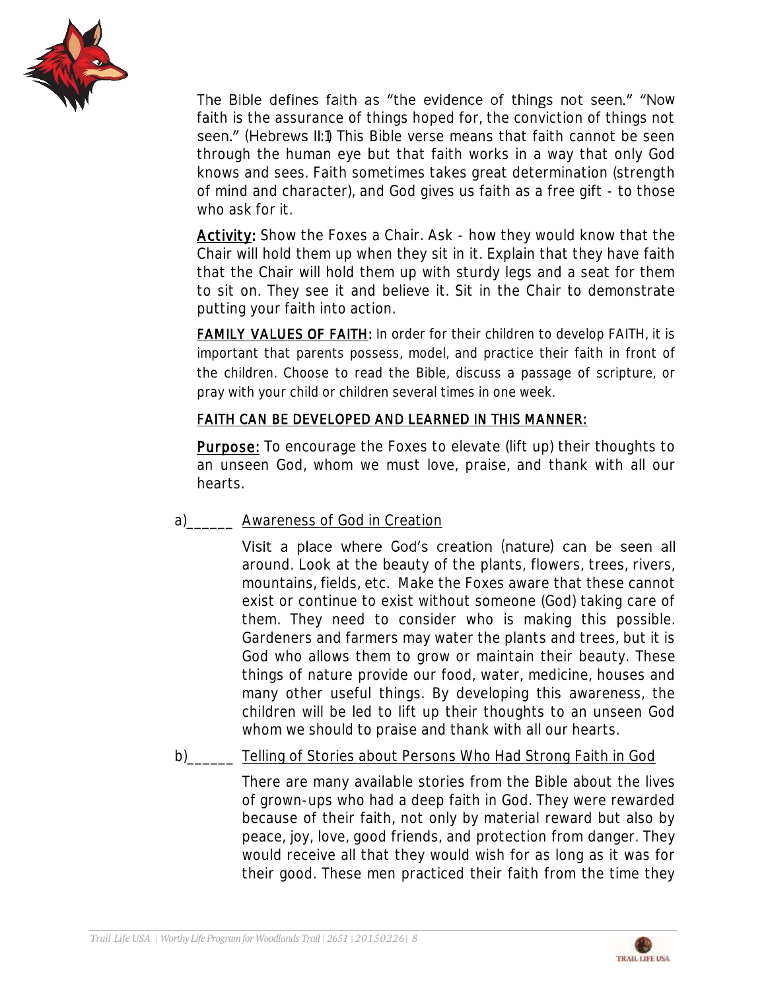

The Bible defines faith as "the evidence of things not seen." "Now faith is the assurance of things hoped for, the conviction of things not seen." (Hebrews II:1) This Bible verse means that faith cannot be seen through the human eye but that faith works in a way that only God knows and sees. Faith sometimes takes great determination (strength of mind and character), and God gives us faith as a free gift - to those who ask for it.

Activity: Show the Foxes a Chair. Ask - how they would know that the Chair will hold them up when they sit in it. Explain that they have faith that the Chair will hold them up with sturdy legs and a seat for them to sit on. They see it and believe it. Sit in the Chair to demonstrate putting your faith into action.

FAMILY VALUES OF FAITH: In order for their children to develop FAITH, it is important that parents possess, model, and practice their faith in front of the children. Choose to read the Bible, discuss a passage of scripture, or pray with your child or children several times in one week.

#### FAITH CAN BE DEVELOPED AND LEARNED IN THIS MANNER:

Purpose: To encourage the Foxes to elevate (lift up) their thoughts to an unseen God, whom we must love, praise, and thank with all our hearts.

#### a)\_\_\_\_\_\_ Awareness of God in Creation

Visit a place where God's creation (nature) can be seen all around. Look at the beauty of the plants, flowers, trees, rivers, mountains, fields, etc. Make the Foxes aware that these cannot exist or continue to exist without someone (God) taking care of them. They need to consider who is making this possible. Gardeners and farmers may water the plants and trees, but it is God who allows them to grow or maintain their beauty. These things of nature provide our food, water, medicine, houses and many other useful things. By developing this awareness, the children will be led to lift up their thoughts to an unseen God whom we should to praise and thank with all our hearts.

b)\_\_\_\_\_\_ Telling of Stories about Persons Who Had Strong Faith in God

There are many available stories from the Bible about the lives of grown-ups who had a deep faith in God. They were rewarded because of their faith, not only by material reward but also by peace, joy, love, good friends, and protection from danger. They would receive all that they would wish for as long as it was for their good. These men practiced their faith from the time they

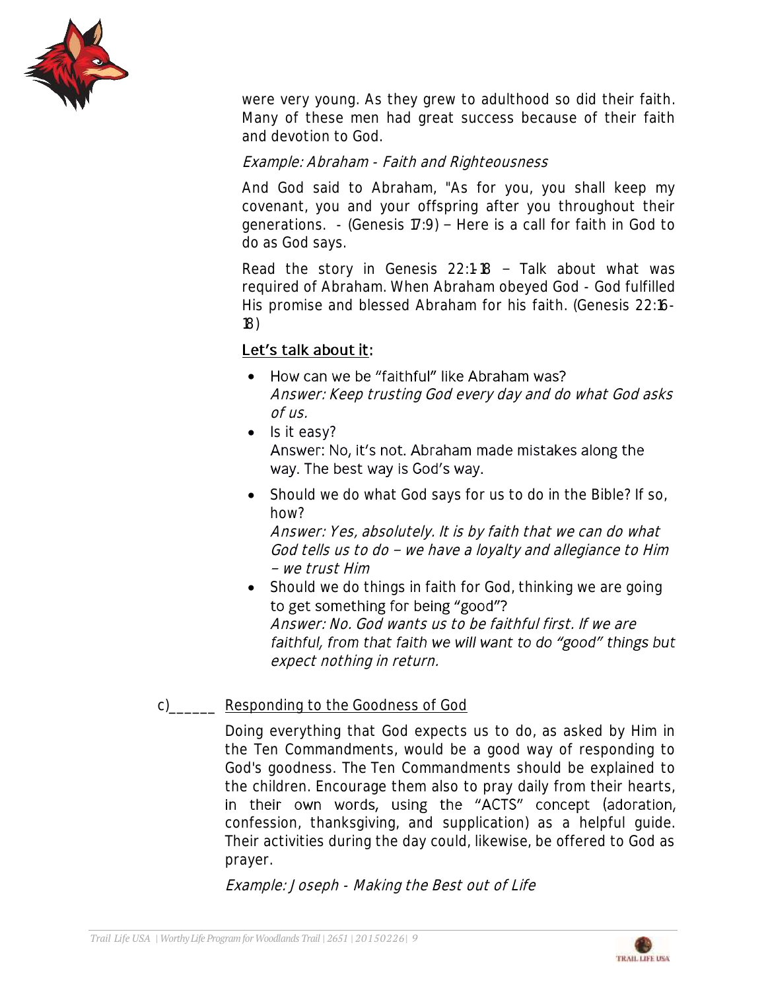

were very young. As they grew to adulthood so did their faith. Many of these men had great success because of their faith and devotion to God.

#### Example: Abraham - Faith and Righteousness

And God said to Abraham, "As for you, you shall keep my covenant, you and your offspring after you throughout their generations. - (Genesis 17:9) - Here is a call for faith in God to do as God says.

Read the story in Genesis  $22:1-18$  - Talk about what was required of Abraham. When Abraham obeyed God - God fulfilled His promise and blessed Abraham for his faith. (Genesis 22:16- 18)

#### Let's talk about it:

- How can we be "faithful" like Abraham was? Answer: Keep trusting God every day and do what God asks of us.
- Is it easy?

Answer: No, it's not. Abraham made mistakes along the way. The best way is God's way.

• Should we do what God says for us to do in the Bible? If so, how?

Answer: Yes, absolutely. It is by faith that we can do what God tells us to do  $-$  we have a loyalty and allegiance to Him we trust Him

• Should we do things in faith for God, thinking we are going to get something for being "good"? Answer: No. God wants us to be faithful first. If we are faithful, from that faith we will want to do "good" things but expect nothing in return.

#### c)\_\_\_\_\_\_ Responding to the Goodness of God

Doing everything that God expects us to do, as asked by Him in the Ten Commandments, would be a good way of responding to God's goodness. The Ten [Commandments should be explained to](http://www.writeone.info/uncategorized/childfaith-experiencing-god-and-spiritual-growth-with-your-children/)  [the children.](http://www.writeone.info/uncategorized/childfaith-experiencing-god-and-spiritual-growth-with-your-children/) Encourage them also to pray daily from their hearts, in their own words, using the "ACTS" concept (adoration, confession, thanksgiving, and supplication) as a helpful guide. Their activities during the day could, likewise, be offered to God as prayer.

Example: Joseph - Making the Best out of Life

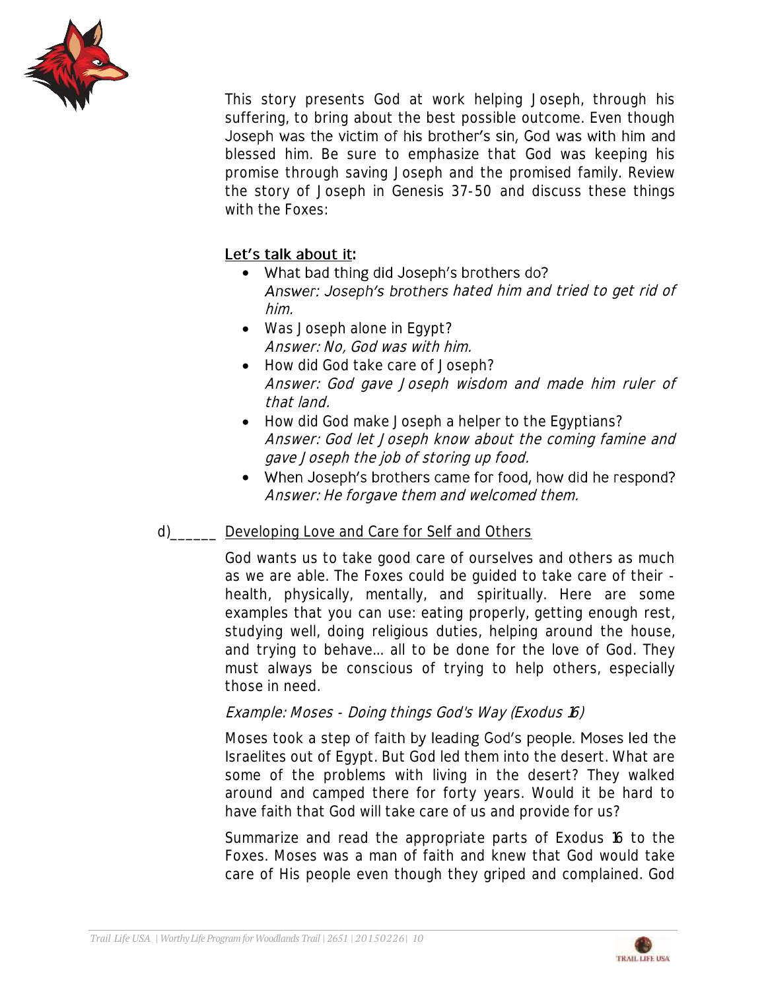

This story presents God at work helping Joseph, through his suffering, to bring about the best possible outcome. Even though Joseph was the victim of his brother's sin, God was with him and blessed him. Be sure to emphasize that God was keeping his promise through saving Joseph and the promised family. Review the story of Joseph in Genesis 37-50 and discuss these things with the Foxes:

## Let's talk about it:

- What bad thing did Joseph's brothers do? Answer: Joseph's brothers hated him and tried to get rid of him.
- Was Joseph alone in Egypt? Answer: No, God was with him.
- How did God take care of Joseph? Answer: God gave Joseph wisdom and made him ruler of that land.
- How did God make Joseph a helper to the Egyptians? Answer: God let Joseph know about the coming famine and gave Joseph the job of storing up food.
- When Joseph's brothers came for food, how did he respond? Answer: He forgave them and welcomed them.

## d)\_\_\_\_\_\_ Developing Love and Care for Self and Others

God wants us to take good care of ourselves and others as much as we are able. The Foxes could be guided to take care of their health, physically, mentally, and spiritually. Here are some examples that you can use: eating properly, getting enough rest, studying well, doing religious duties, helping around the house, and trying to behave... all to be done for the love of God. They must always be conscious of trying to help others, especially those in need.

#### Example: Moses - Doing things God's Way (Exodus 16)

Moses took a step of faith by leading God's people. Moses led the Israelites out of Egypt. But God led them into the desert. What are some of the problems with living in the desert? They walked around and camped there for forty years. Would it be hard to have faith that God will take care of us and provide for us?

Summarize and read the appropriate parts of Exodus 16 to the Foxes. Moses was a man of faith and knew that God would take care of His people even though they griped and complained. God

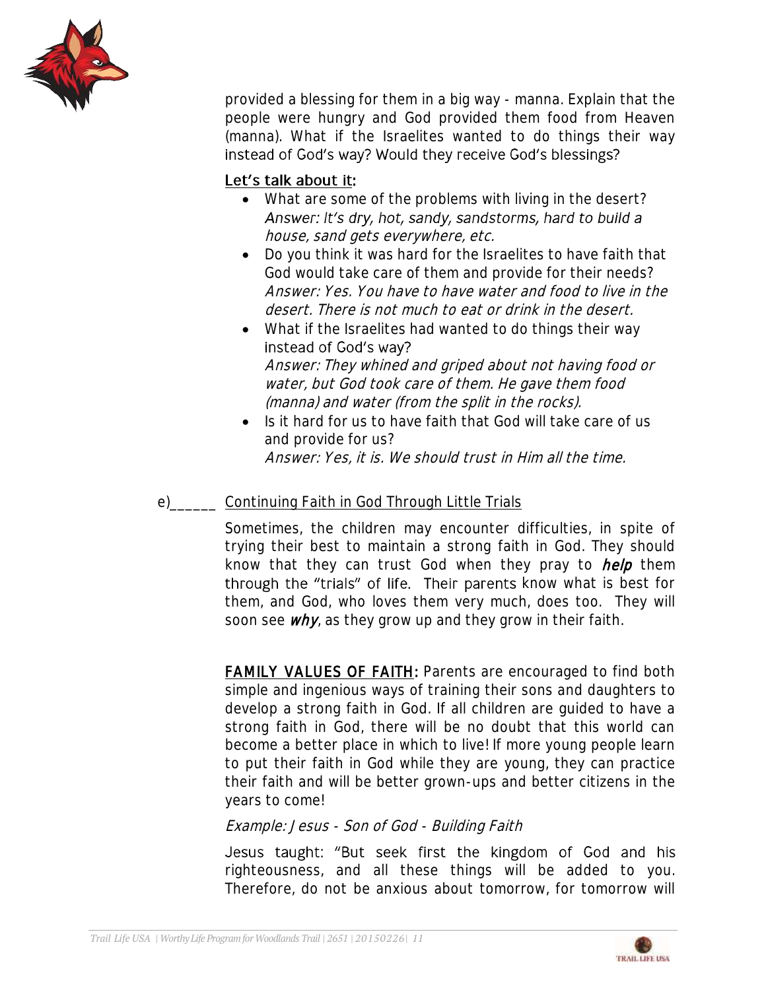

provided a blessing for them in a big way - manna. Explain that the people were hungry and God provided them food from Heaven (manna). What if the Israelites wanted to do things their way instead of God's way? Would they receive God's blessings?

### Let's talk about it:

- What are some of the problems with living in the desert? Answer: It's dry, hot, sandy, sandstorms, hard to build a house, sand gets everywhere, etc.
- Do you think it was hard for the Israelites to have faith that God would take care of them and provide for their needs? Answer: Yes. You have to have water and food to live in the desert. There is not much to eat or drink in the desert.
- What if the Israelites had wanted to do things their way instead of God's way? Answer: They whined and griped about not having food or water, but God took care of them. He gave them food (manna) and water (from the split in the rocks).
- Is it hard for us to have faith that God will take care of us and provide for us? Answer: Yes, it is. We should trust in Him all the time.

e)\_\_\_\_\_\_ Continuing Faith in God Through Little Trials

Sometimes, the children may encounter difficulties, in spite of trying their best to maintain a strong faith in God. They should know that they can trust God when they pray to  $help$  them through the "trials" of life. Their parents know what is best for them, and God, who loves them very much, does too. They will soon see  $why$ , as they grow up and they grow in their faith.

FAMILY VALUES OF FAITH: Parents are encouraged to find both simple and ingenious ways of training their sons and daughters to develop a strong faith in God. If all children are guided to have a strong faith in God, there will be no doubt that this world can become a better place in which to live! If more young people learn to put their faith in God while they are young, they can practice their faith and will be better grown-ups and better citizens in the years to come!

Example: Jesus - Son of God - Building Faith

Jesus taught: "But seek first the kingdom of God and his righteousness, and all these things will be added to you. Therefore, do not be anxious about tomorrow, for tomorrow will

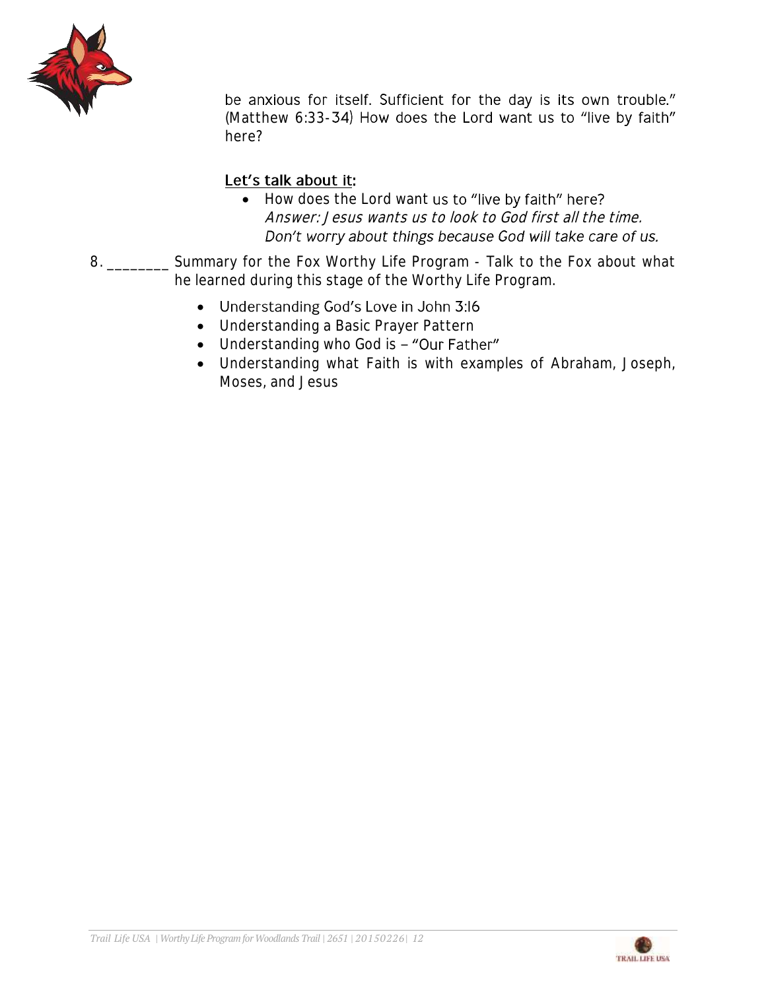

be anxious for itself. Sufficient for the day is its own trouble." (Matthew 6:33-34) How does the Lord want us to "live by faith" here?

### Let's talk about it:

- How does the Lord want us to "live by faith" here? Answer: Jesus wants us to look to God first all the time. Don't worry about things because God will take care of us.
- 8. \_\_\_\_\_\_\_\_\_ Summary for the Fox Worthy Life Program Talk to the Fox about what he learned during this stage of the Worthy Life Program.
	- Understanding God's Love in John 3:16
	- Understanding a Basic Prayer Pattern
	- Understanding who God is "Our Father"
	- Understanding what Faith is with examples of Abraham, Joseph, Moses, and Jesus

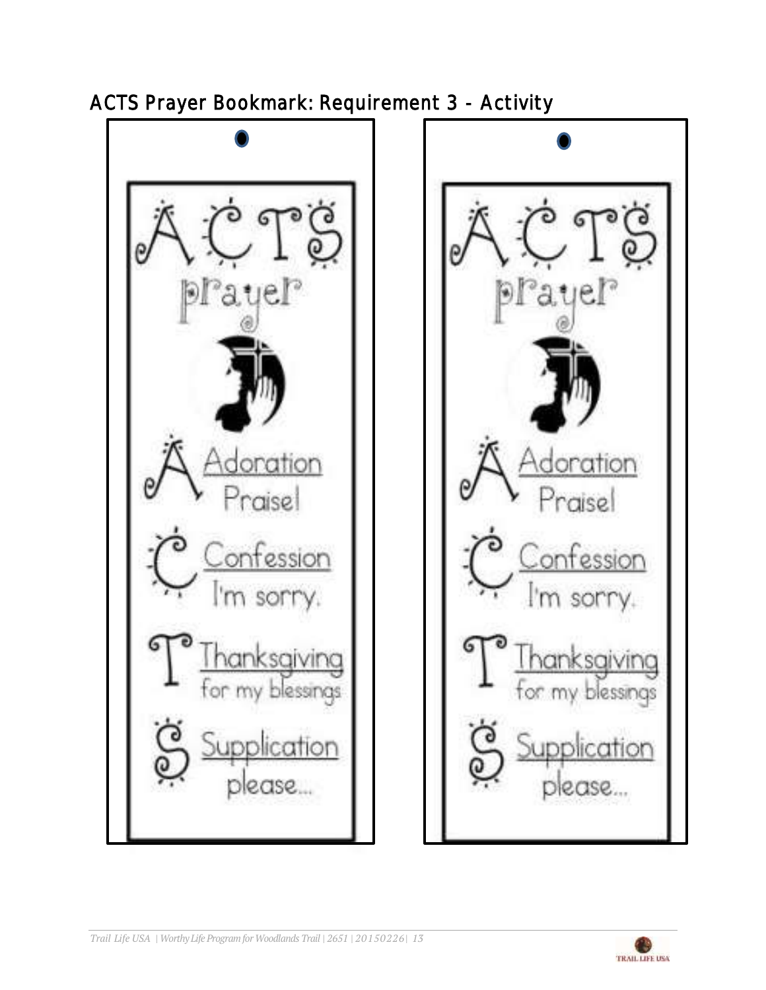

ACTS Prayer Bookmark: Requirement 3 - Activity

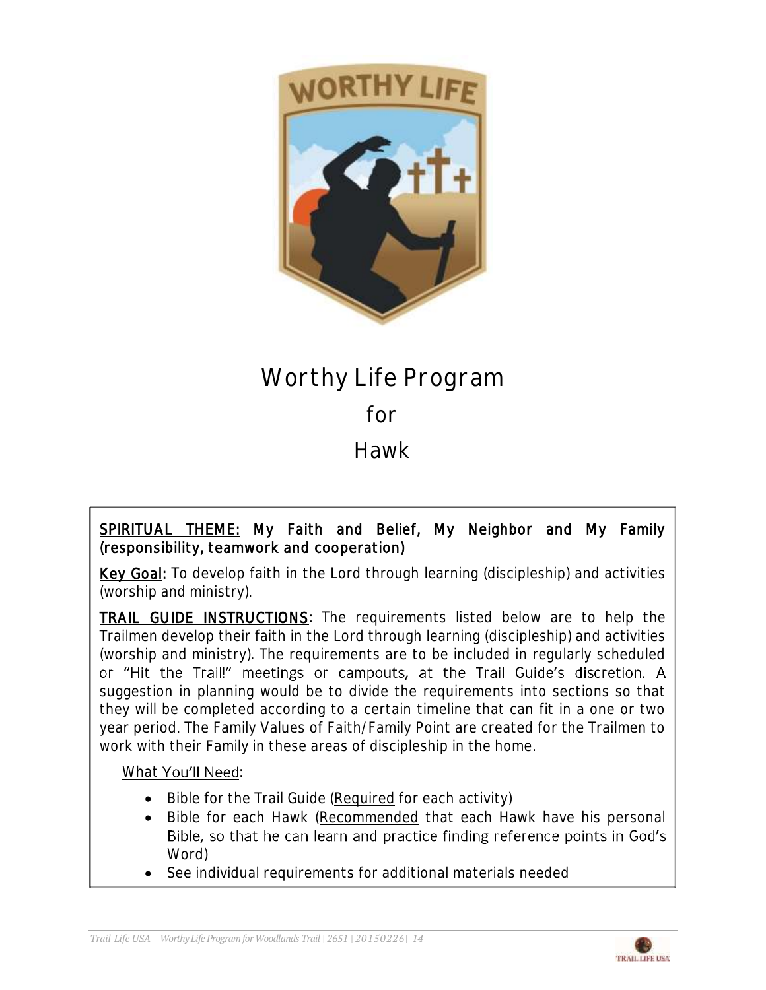

# **Worthy Life Program for Hawk**

### SPIRITUAL THEME: My Faith and Belief, My Neighbor and My Family (responsibility, teamwork and cooperation)

Key Goal: To develop faith in the Lord through learning (discipleship) and activities (worship and ministry).

**TRAIL GUIDE INSTRUCTIONS:** The requirements listed below are to help the Trailmen develop their faith in the Lord through learning (discipleship) and activities (worship and ministry). The requirements are to be included in regularly scheduled or "Hit the Trail!" meetings or campouts, at the Trail Guide's discretion. A suggestion in planning would be to divide the requirements into sections so that they will be completed according to a certain timeline that can fit in a one or two year period. The Family Values of Faith/Family Point are created for the Trailmen to work with their Family in these areas of discipleship in the home.

#### What You'll Need:

- Bible for the Trail Guide (Required for each activity)
- Bible for each Hawk (Recommended that each Hawk have his personal Bible, so that he can learn and practice finding reference points in God's Word)
- See individual requirements for additional materials needed

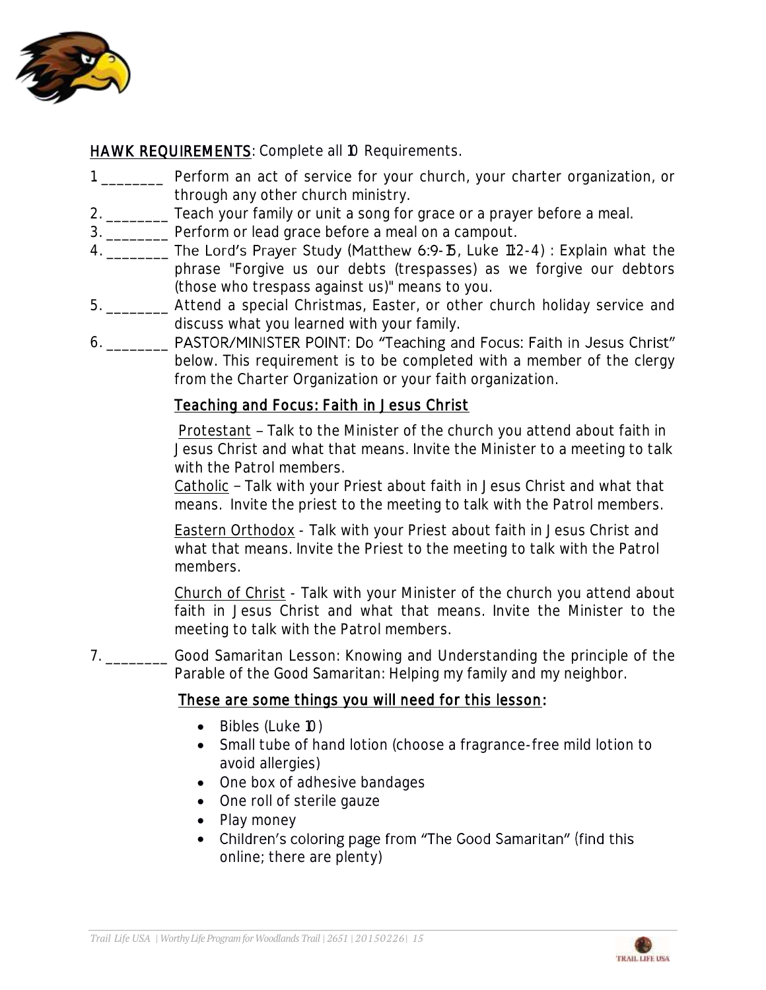

HAWK REQUIREMENTS: Complete all 10 Requirements.

- 1. \_\_\_\_\_\_\_\_ Perform an act of service for your church, your charter organization, or through any other church ministry.
- 2. \_\_\_\_\_\_\_\_\_ Teach your family or unit a song for grace or a prayer before a meal.
- 3. \_\_\_\_\_\_\_\_ Perform or lead grace before a meal on a campout.
- 4. \_\_\_\_\_\_\_\_\_ The Lord's Prayer Study (Matthew 6:9-15, Luke 11:2-4) : Explain what the phrase "Forgive us our debts (trespasses) as we forgive our debtors (those who trespass against us)" means to you.
- 5. \_\_\_\_\_\_\_\_ Attend a special Christmas, Easter, or other church holiday service and discuss what you learned with your family.
- 6. \_\_\_\_\_\_\_\_\_\_\_ PASTOR/MINISTER POINT: Do "Teaching and Focus: Faith in Jesus Christ" below. This requirement is to be completed with a member of the clergy from the Charter Organization or your faith organization.

#### Teaching and Focus: Faith in Jesus Christ

Protestant - Talk to the Minister of the church you attend about faith in Jesus Christ and what that means. Invite the Minister to a meeting to talk with the Patrol members.

Catholic - Talk with your Priest about faith in Jesus Christ and what that means. Invite the priest to the meeting to talk with the Patrol members.

Eastern Orthodox - Talk with your Priest about faith in Jesus Christ and what that means. Invite the Priest to the meeting to talk with the Patrol members.

Church of Christ - Talk with your Minister of the church you attend about faith in Jesus Christ and what that means. Invite the Minister to the meeting to talk with the Patrol members.

7. \_\_\_\_\_\_\_\_ Good Samaritan Lesson: Knowing and Understanding the principle of the Parable of the Good Samaritan: Helping my family and my neighbor.

#### These are some things you will need for this lesson:

- Bibles (Luke 10)
- Small tube of hand lotion (choose a fragrance-free mild lotion to avoid allergies)
- One box of adhesive bandages
- One roll of sterile gauze
- Play money
- Children's coloring page from "The Good Samaritan" (find this online; there are plenty)

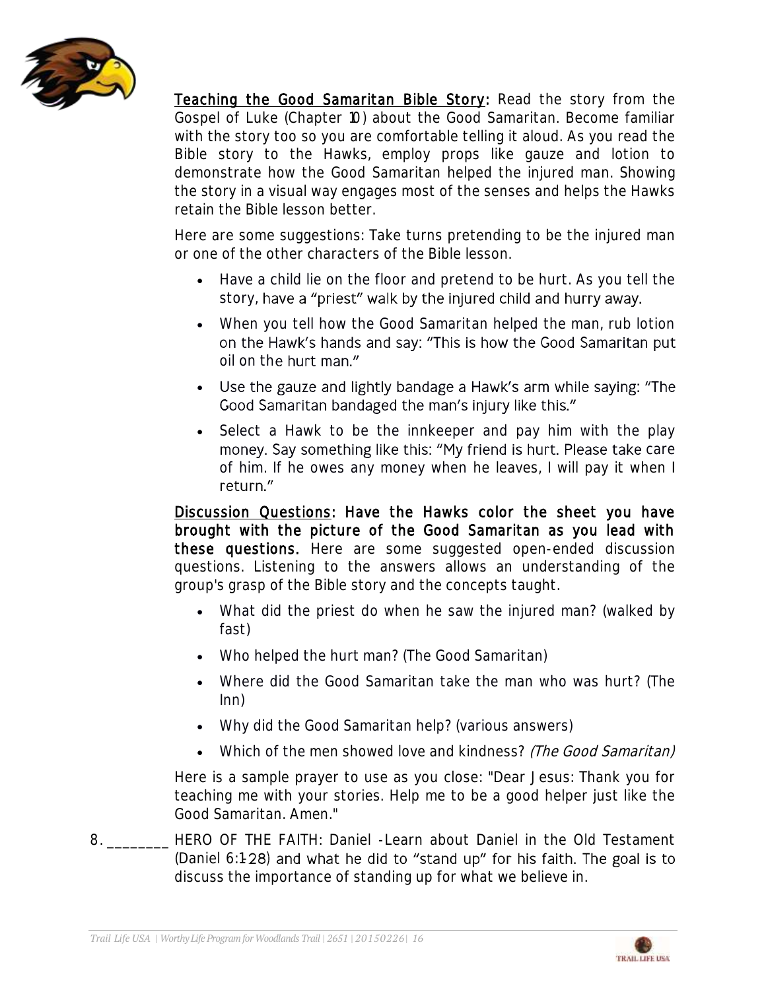

Teaching the Good Samaritan Bible Story: Read the story from the Gospel of Luke (Chapter 10) about the Good Samaritan. Become familiar with the story too so you are comfortable telling it aloud. As you read the Bible story to the Hawks, employ props like gauze and lotion to demonstrate how the Good Samaritan helped the injured man. Showing the story in a visual way engages most of the senses and helps the Hawks retain the Bible lesson better.

Here are some suggestions: Take turns pretending to be the injured man or one of the other characters of the Bible lesson.

- Have a child lie on the floor and pretend to be hurt. As you tell the story, have a "priest" walk by the injured child and hurry away.
- When you tell how the Good Samaritan helped the man, rub lotion on the Hawk's hands and say: "This is how the Good Samaritan put oil on the hurt man."
- Use the gauze and lightly bandage a Hawk's arm while saying: "The Good Samaritan bandaged the man's injury like this."
- Select a Hawk to be the innkeeper and pay him with the play money. Say something like this: "My friend is hurt. Please take care of him. If he owes any money when he leaves, I will pay it when I return."

Discussion Questions: Have the Hawks color the sheet you have brought with the picture of the Good Samaritan as you lead with these questions. Here are some suggested open-ended discussion questions. Listening to the answers allows an understanding of the group's grasp of the Bible story and the concepts taught.

- What did the priest do when he saw the injured man? (walked by fast)
- Who helped the hurt man? (The Good Samaritan)
- Where did the Good Samaritan take the man who was hurt? (The Inn)
- Why did the Good Samaritan help? (various answers)
- Which of the men showed love and kindness? (The Good Samaritan)

Here is a sample prayer to use as you close: "Dear Jesus: Thank you for teaching me with your stories. Help me to be a good helper just like the Good Samaritan. Amen."

8. **EXECUTE:** HERO OF THE FAITH: Daniel -Learn about Daniel in the Old Testament (Daniel 6:1-28) and what he did to "stand up" for his faith. The goal is to discuss the importance of standing up for what we believe in.

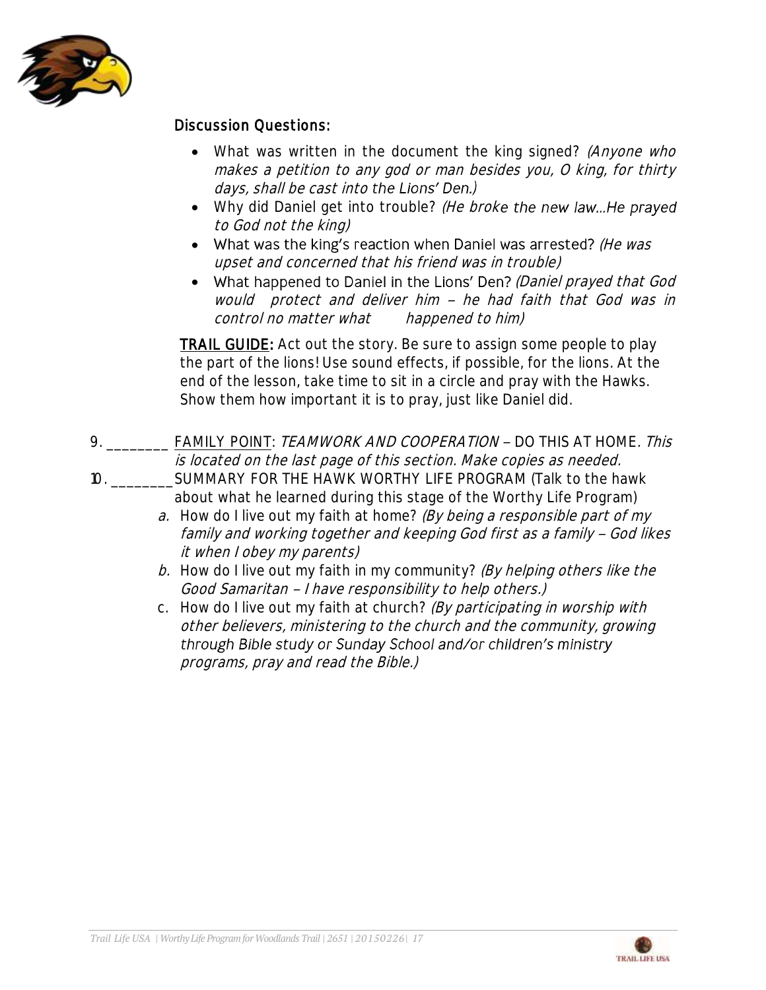

#### Discussion Questions:

- What was written in the document the king signed? (Anyone who makes a petition to any god or man besides you, O king, for thirty days, shall be cast into the Lions' Den.)
- Why did Daniel get into trouble? (He broke the new law...He prayed to God not the king)
- What was the king's reaction when Daniel was arrested? (He was upset and concerned that his friend was in trouble)
- What happened to Daniel in the Lions' Den? (Daniel prayed that God would protect and deliver him - he had faith that God was in control no matter what happened to him)

TRAIL GUIDE: Act out the story. Be sure to assign some people to play the part of the lions! Use sound effects, if possible, for the lions. At the end of the lesson, take time to sit in a circle and pray with the Hawks. Show them how important it is to pray, just like Daniel did.

| 9.       | FAMILY POINT: TEAMWORK AND COOPERATION - DO THIS AT HOME. This<br>is located on the last page of this section. Make copies as needed. |
|----------|---------------------------------------------------------------------------------------------------------------------------------------|
| $1 \cap$ | SUMMARY FOR THE HAWK WORTHY LIFE PROGRAM (Talk to the hawk                                                                            |
|          | about what he learned during this stage of the Worthy Life Program)                                                                   |
|          | a. How do I live out my faith at home? (By being a responsible part of my                                                             |
|          | family and working together and keeping God first as a family - God likes                                                             |
|          | it when I obey my parents)                                                                                                            |
|          | b. How do I live out my faith in my community? (By helping others like the                                                            |
|          | Good Samaritan - I have responsibility to help others.)                                                                               |
|          | c. How do I live out my faith at church? (By participating in worship with                                                            |
|          | other believers, ministering to the church and the community, growing                                                                 |
|          | through Bible study or Sunday School and/or children's ministry                                                                       |

programs, pray and read the Bible.)

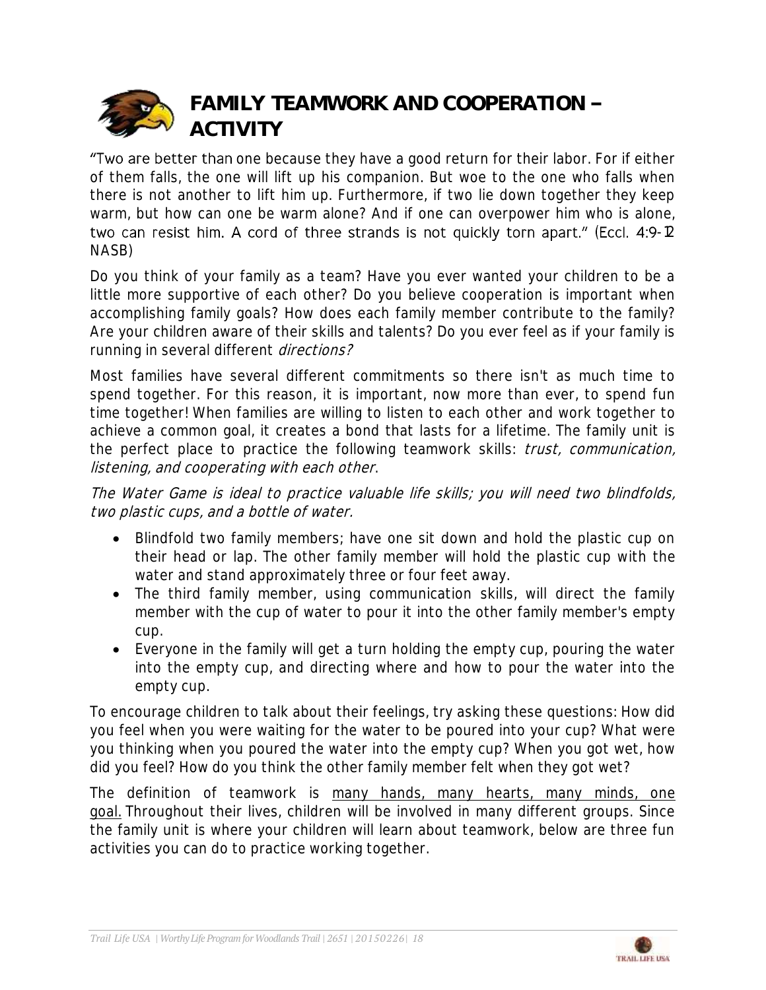

## **FAMILY TEAMWORK AND COOPERATION ACTIVITY**

"Two are better than one because they have a good return for their labor. For if either of them falls, the one will lift up his companion. But woe to the one who falls when there is not another to lift him up. Furthermore, if two lie down together they keep warm, but how can one be warm alone? And if one can overpower him who is alone, two can resist him. A cord of three strands is not quickly torn apart." (Eccl. 4:9-12 NASB)

Do you think of your family as a team? Have you ever wanted your children to be a little more supportive of each other? Do you believe cooperation is important when accomplishing family goals? How does each family member contribute to the family? Are your children aware of their skills and talents? Do you ever feel as if your family is running in several different *directions?* 

Most families have several different commitments so there isn't as much time to spend together. For this reason, it is important, now more than ever, to spend fun time together! When families are willing to listen to each other and work together to achieve a common goal, it creates a bond that lasts for a lifetime. The family unit is the perfect place to practice the following teamwork skills: *trust, communication,* listening, and cooperating with each other.

The Water Game is ideal to practice valuable life skills; you will need two blindfolds, two plastic cups, and a bottle of water.

- Blindfold two family members; have one sit down and hold the plastic cup on their head or lap. The other family member will hold the plastic cup with the water and stand approximately three or four feet away.
- The third family member, using communication skills, will direct the family member with the cup of water to pour it into the other family member's empty cup.
- Everyone in the family will get a turn holding the empty cup, pouring the water into the empty cup, and directing where and how to pour the water into the empty cup.

To encourage children to talk about their feelings, try asking these questions: How did you feel when you were waiting for the water to be poured into your cup? What were you thinking when you poured the water into the empty cup? When you got wet, how did you feel? How do you think the other family member felt when they got wet?

The definition of teamwork is many hands, many hearts, many minds, one goal. Throughout their lives, children will be involved in many different groups. Since the family unit is where your children will learn about teamwork, below are three fun activities you can do to practice working together.

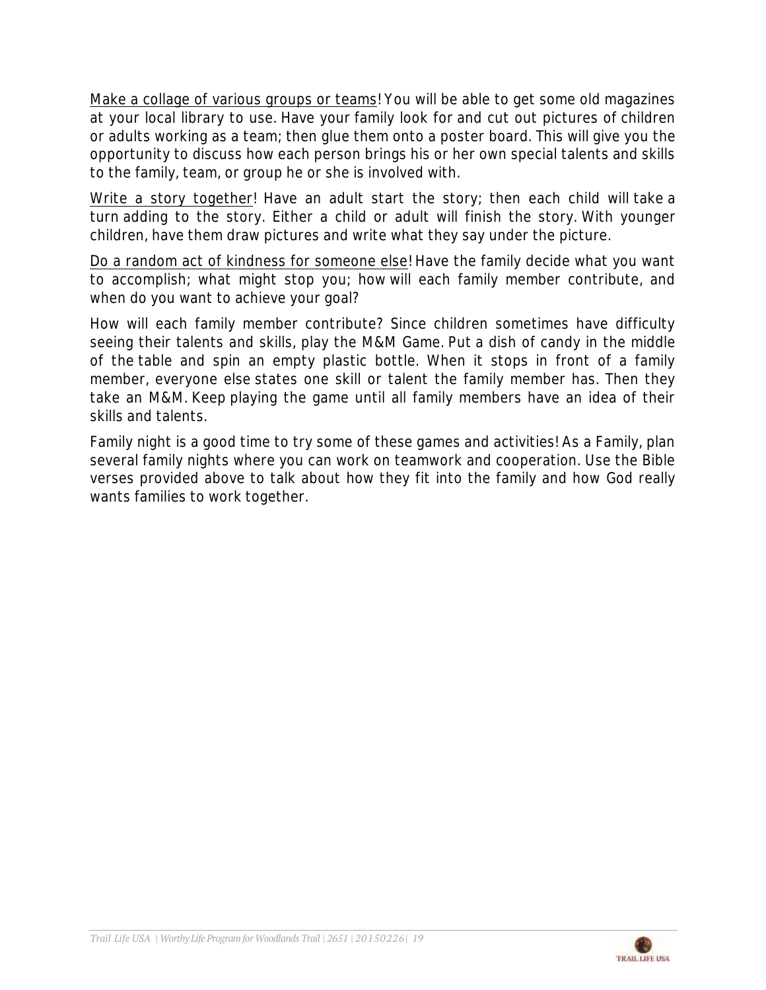Make a collage of various groups or teams! You will be able to get some old magazines at your local library to use. Have your family look for and cut out pictures of children or adults working as a team; then glue them onto a poster board. This will give you the opportunity to discuss how each person brings his or her own special talents and skills to the family, team, or group he or she is involved with.

Write a story together! Have an adult start the story; then each child will take a turn adding to the story. Either a child or adult will finish the story. With younger children, have them draw pictures and write what they say under the picture.

Do a random act of kindness for someone else! Have the family decide what you want to accomplish; what might stop you; how will each family member contribute, and when do you want to achieve your goal?

How will each family member contribute? Since children sometimes have difficulty seeing their talents and skills, play the M&M Game. Put a dish of candy in the middle of the table and spin an empty plastic bottle. When it stops in front of a family member, everyone else states one skill or talent the family member has. Then they take an M&M. Keep playing the game until all family members have an idea of their skills and talents.

Family night is a good time to try some of these games and activities! As a Family, plan several family nights where you can work on teamwork and cooperation. Use the Bible verses provided above to talk about how they fit into the family and how God really wants families to work together.

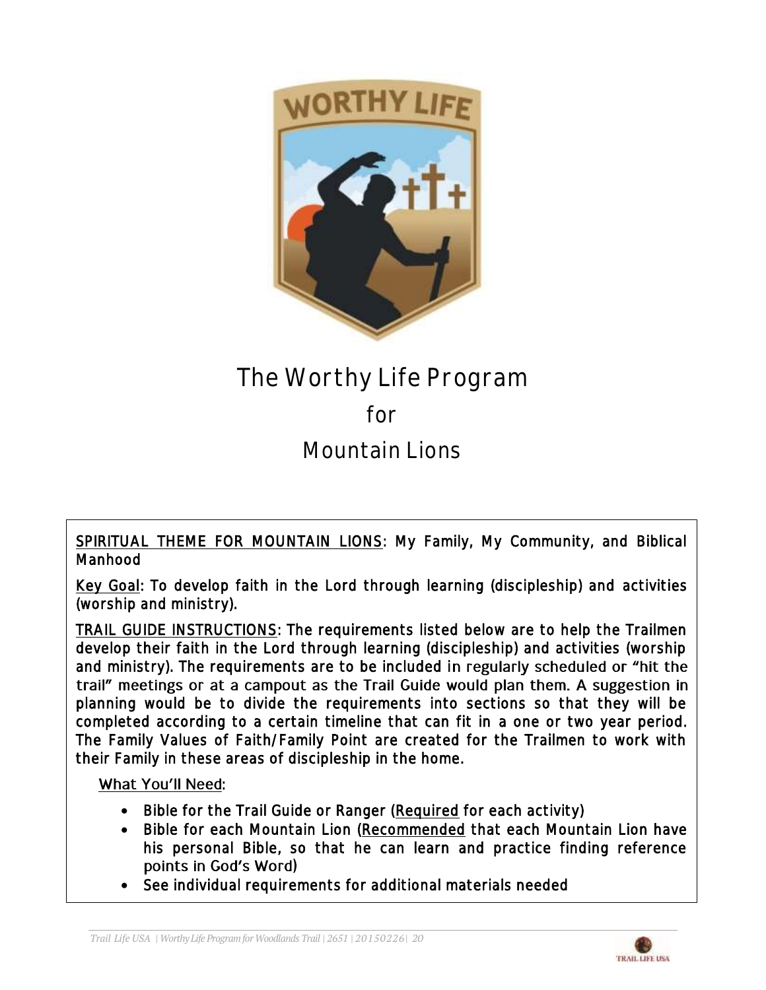

# **The Worthy Life Program for Mountain Lions**

SPIRITUAL THEME FOR MOUNTAIN LIONS: My Family, My Community, and Biblical Manhood

Key Goal: To develop faith in the Lord through learning (discipleship) and activities (worship and ministry).

TRAIL GUIDE INSTRUCTIONS: The requirements listed below are to help the Trailmen develop their faith in the Lord through learning (discipleship) and activities (worship and ministry). The requirements are to be included in regularly scheduled or "hit the trail" meetings or at a campout as the Trail Guide would plan them. A suggestion in planning would be to divide the requirements into sections so that they will be completed according to a certain timeline that can fit in a one or two year period. The Family Values of Faith/Family Point are created for the Trailmen to work with their Family in these areas of discipleship in the home.

**What You'll Need:** 

- Bible for the Trail Guide or Ranger (Required for each activity)
- Bible for each Mountain Lion (Recommended that each Mountain Lion have his personal Bible, so that he can learn and practice finding reference points in God's Word)
- See individual requirements for additional materials needed

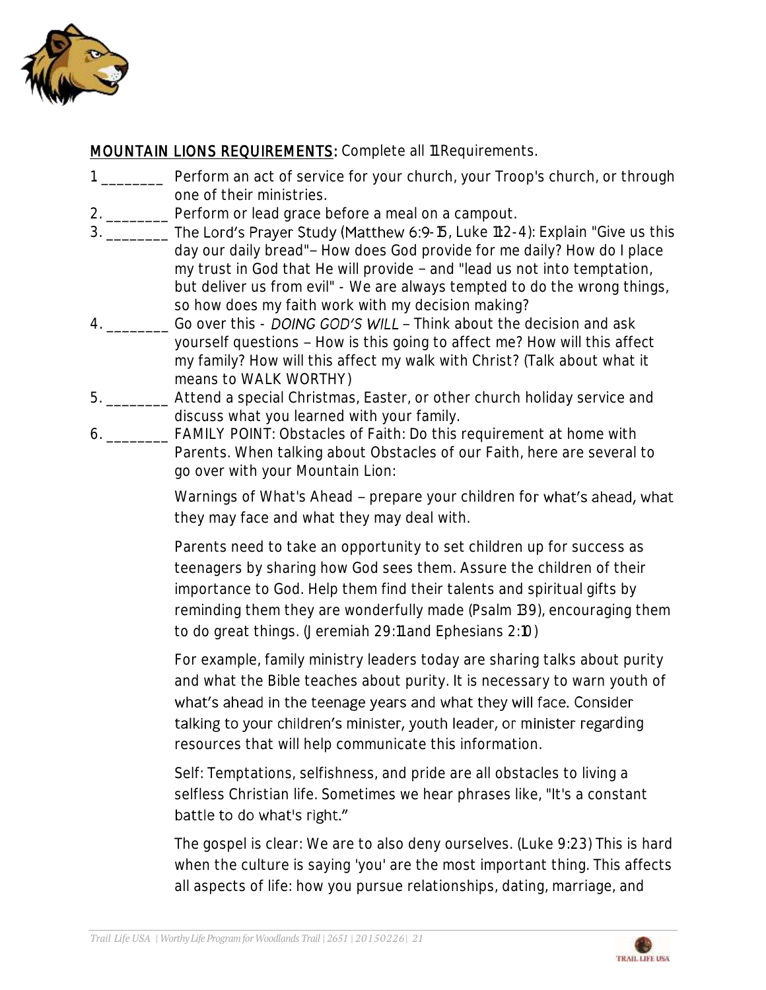

#### MOUNTAIN LIONS REQUIREMENTS: Complete all 11 Requirements.

- 1. \_\_\_\_\_\_\_\_\_\_ Perform an act of service for your church, your Troop's church, or through one of their ministries.
- 2. \_\_\_\_\_\_\_\_ Perform or lead grace before a meal on a campout.
- 3.  $\frac{1}{2}$  The Lord's Prayer Study (Matthew 6:9-15, Luke 11:2-4): Explain "Give us this day our daily bread" – How does God provide for me daily? How do I place my trust in God that He will provide  $-$  and "lead us not into temptation, but deliver us from evil" - We are always tempted to do the wrong things, so how does my faith work with my decision making?
- 4. Go over this DOING GOD'S WILL Think about the decision and ask yourself questions - How is this going to affect me? How will this affect my family? How will this affect my walk with Christ? (Talk about what it means to WALK WORTHY)
- 5. \_\_\_\_\_\_\_\_ Attend a special Christmas, Easter, or other church holiday service and discuss what you learned with your family.
- 6. \_\_\_\_\_\_\_\_ FAMILY POINT: Obstacles of Faith: Do this requirement at home with Parents. When talking about Obstacles of our Faith, here are several to go over with your Mountain Lion:

Warnings of What's Ahead - prepare your children for what's ahead, what they may face and what they may deal with.

Parents need to take an opportunity to set children up for success as teenagers by sharing how God sees them. Assure the children of their importance to God. Help them find their talents and spiritual gifts by reminding them they are wonderfully made (Psalm 139), encouraging them to do great things. (Jeremiah 29:11 and Ephesians 2:10)

For example, family ministry leaders today are sharing talks about purity and what the Bible teaches about purity. It is necessary to warn youth of what's ahead in the teenage years and what they will face. Consider talking to your children's minister, youth leader, or minister regarding resources that will help communicate this information.

Self: Temptations, selfishness, and pride are all obstacles to living a selfless Christian life. Sometimes we hear phrases like, "It's a constant battle to do what's right."

The gospel is clear: We are to also deny ourselves. (Luke 9:23) This is hard when the culture is saying 'you' are the most important thing. This affects all aspects of life: how you pursue relationships, dating, marriage, and

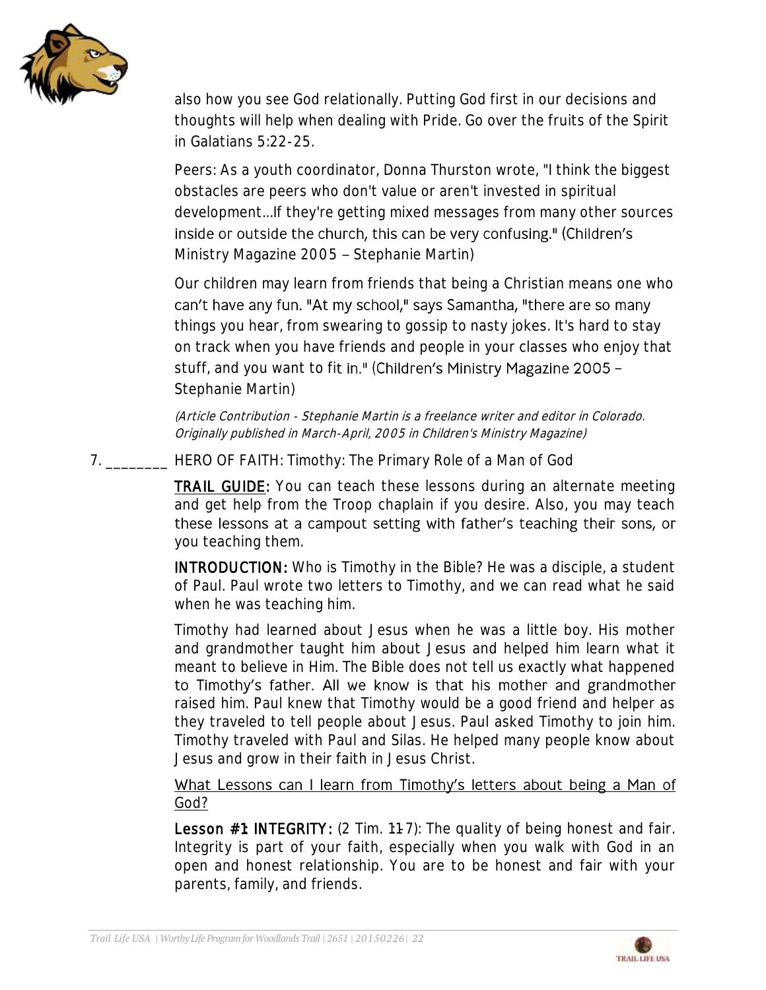

also how you see God relationally. Putting God first in our decisions and thoughts will help when dealing with Pride. Go over the fruits of the Spirit in Galatians 5:22-25.

Peers: As a youth coordinator, Donna Thurston wrote, "I think the biggest obstacles are peers who don't value or aren't invested in spiritual development...If they're getting mixed messages from many other sources inside or outside the church, this can be very confusing." (Children's Ministry Magazine 2005 - Stephanie Martin)

Our children may learn from friends that being a Christian means one who can't have any fun. "At my school," says Samantha, "there are so many things you hear, from swearing to gossip to nasty jokes. It's hard to stay on track when you have friends and people in your classes who enjoy that stuff, and you want to fit in." (Children's Ministry Magazine 2005 -Stephanie Martin)

(Article Contribution - Stephanie Martin is a freelance writer and editor in Colorado. Originally published in March-April, 2005 in Children's Ministry Magazine)

7. \_\_\_\_\_\_\_\_ HERO OF FAITH: Timothy: The Primary Role of a Man of God

TRAIL GUIDE: You can teach these lessons during an alternate meeting and get help from the Troop chaplain if you desire. Also, you may teach these lessons at a campout setting with father's teaching their sons, or you teaching them.

INTRODUCTION: Who is Timothy in the Bible? He was a disciple, a student of Paul. Paul wrote two letters to Timothy, and we can read what he said when he was teaching him.

Timothy had learned about Jesus when he was a little boy. His mother and grandmother taught him about Jesus and helped him learn what it meant to believe in Him. The Bible does not tell us exactly what happened to Timothy's father. All we know is that his mother and grandmother raised him. Paul knew that Timothy would be a good friend and helper as they traveled to tell people about Jesus. Paul asked Timothy to join him. Timothy traveled with Paul and Silas. He helped many people know about Jesus and grow in their faith in Jesus Christ.

#### What Lessons can I learn from Timothy's letters about being a Man of God?

Lesson #1: INTEGRITY: (2 Tim. 1:1-7): The quality of being honest and fair. Integrity is part of your faith, especially when you walk with God in an open and honest relationship. You are to be honest and fair with your parents, family, and friends.

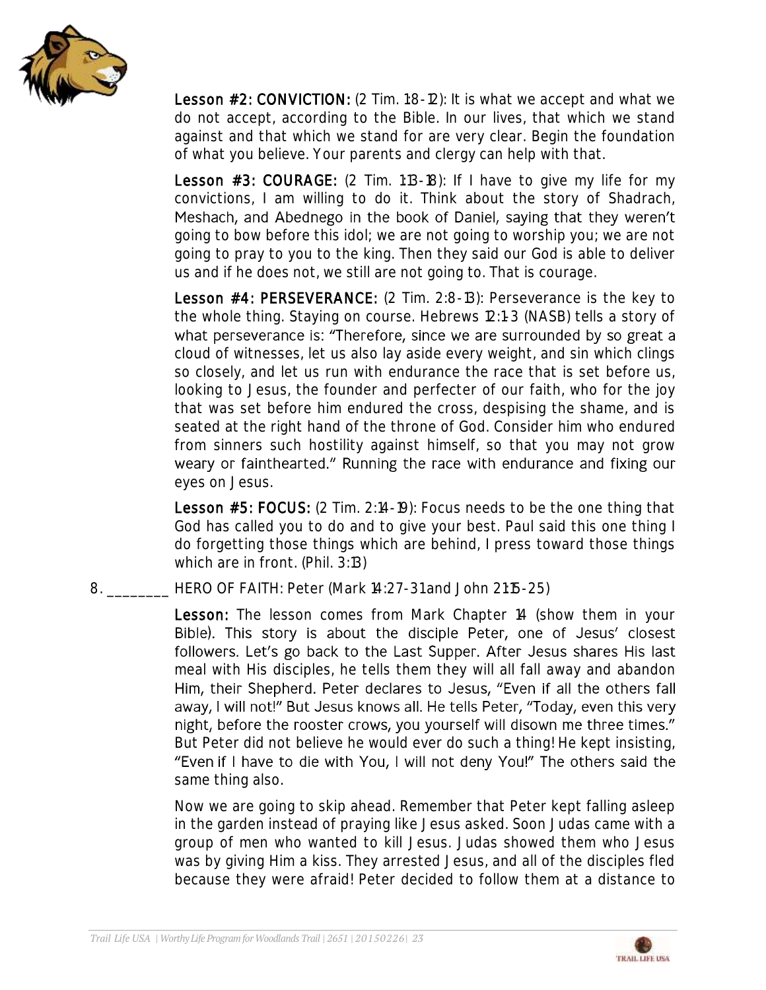

Lesson #2: CONVICTION: (2 Tim. 1:8-12): It is what we accept and what we do not accept, according to the Bible. In our lives, that which we stand against and that which we stand for are very clear. Begin the foundation of what you believe. Your parents and clergy can help with that.

Lesson #3: COURAGE: (2 Tim. 1:13-18): If I have to give my life for my convictions, I am willing to do it. Think about the story of Shadrach, Meshach, and Abednego in the book of Daniel, saying that they weren't going to bow before this idol; we are not going to worship you; we are not going to pray to you to the king. Then they said our God is able to deliver us and if he does not, we still are not going to. That is courage.

Lesson #4: PERSEVERANCE: (2 Tim. 2:8-13): Perseverance is the key to the whole thing. Staying on course. Hebrews 12:1-3 (NASB) tells a story of what perseverance is: "Therefore, since we are surrounded by so great a cloud of witnesses, let us also lay aside every weight, and sin which clings so closely, and let us run with endurance the race that is set before us, looking to Jesus, the founder and perfecter of our faith, who for the joy that was set before him endured the cross, despising the shame, and is seated at the right hand of the throne of God. Consider him who endured from sinners such hostility against himself, so that you may not grow weary or fainthearted." Running the race with endurance and fixing our eyes on Jesus.

Lesson #5: FOCUS: (2 Tim. 2:14-19): Focus needs to be the one thing that God has called you to do and to give your best. Paul said this one thing I do forgetting those things which are behind, I press toward those things which are in front. (Phil. 3:13)

8. \_\_\_\_\_\_\_\_ HERO OF FAITH: Peter (Mark 14:27-31 and John 21:15-25)

Lesson: The lesson comes from Mark Chapter 14 (show them in your Bible). This story is about the disciple Peter, one of Jesus' closest followers. Let's go back to the Last Supper. After Jesus shares His last meal with His disciples, he tells them they will all fall away and abandon Him, their Shepherd. Peter declares to Jesus, "Even if all the others fall away, I will not!" But Jesus knows all. He tells Peter, "Today, even this very night, before the rooster crows, you yourself will disown me three times." But Peter did not believe he would ever do such a thing! He kept insisting, "Even if I have to die with You, I will not deny You!" The others said the same thing also.

Now we are going to skip ahead. Remember that Peter kept falling asleep in the garden instead of praying like Jesus asked. Soon Judas came with a group of men who wanted to kill Jesus. Judas showed them who Jesus was by giving Him a kiss. They arrested Jesus, and all of the disciples fled because they were afraid! Peter decided to follow them at a distance to

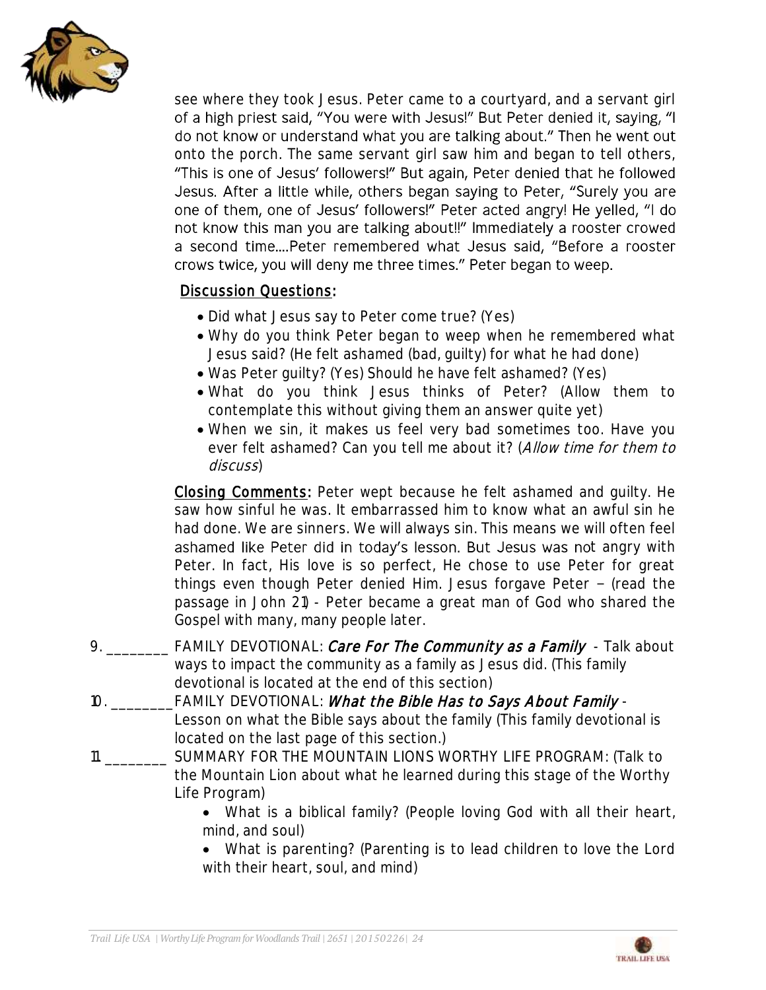

see where they took Jesus. Peter came to a courtyard, and a servant girl of a high priest said, "You were with Jesus!" But Peter denied it, saying, "I do not know or understand what you are talking about." Then he went out onto the porch. The same servant girl saw him and began to tell others, "This is one of Jesus' followers!" But again, Peter denied that he followed Jesus. After a little while, others began saying to Peter, "Surely you are one of them, one of Jesus' followers!" Peter acted angry! He yelled, "I do not know this man you are talking about!!" Immediately a rooster crowed a second time....Peter remembered what Jesus said, "Before a rooster crows twice, you will deny me three times." Peter began to weep.

#### Discussion Questions:

- Did what Jesus say to Peter come true? (Yes)
- Why do you think Peter began to weep when he remembered what Jesus said? (He felt ashamed (bad, guilty) for what he had done)
- Was Peter guilty? (Yes) Should he have felt ashamed? (Yes)
- What do you think Jesus thinks of Peter? (Allow them to contemplate this without giving them an answer quite yet)
- When we sin, it makes us feel very bad sometimes too. Have you ever felt ashamed? Can you tell me about it? (Allow time for them to discuss)

Closing Comments: Peter wept because he felt ashamed and guilty. He saw how sinful he was. It embarrassed him to know what an awful sin he had done. We are sinners. We will always sin. This means we will often feel ashamed like Peter did in today's lesson. But Jesus was not angry with Peter. In fact, His love is so perfect, He chose to use Peter for great things even though Peter denied Him. Jesus forgave Peter  $-$  (read the passage in John 21) - Peter became a great man of God who shared the Gospel with many, many people later.

- 9. \_\_\_\_\_\_\_\_\_ FAMILY DEVOTIONAL: Care For The Community as a Family Talk about ways to impact the community as a family as Jesus did. (This family devotional is located at the end of this section)
- 10. \_\_\_\_\_\_\_\_FAMILY DEVOTIONAL: What the Bible Has to Says About Family Lesson on what the Bible says about the family (This family devotional is located on the last page of this section.)
- 11. \_\_\_\_\_\_\_\_ SUMMARY FOR THE MOUNTAIN LIONS WORTHY LIFE PROGRAM: (Talk to the Mountain Lion about what he learned during this stage of the Worthy Life Program)
	- What is a biblical family? (People loving God with all their heart, mind, and soul)
	- What is parenting? (Parenting is to lead children to love the Lord with their heart, soul, and mind)

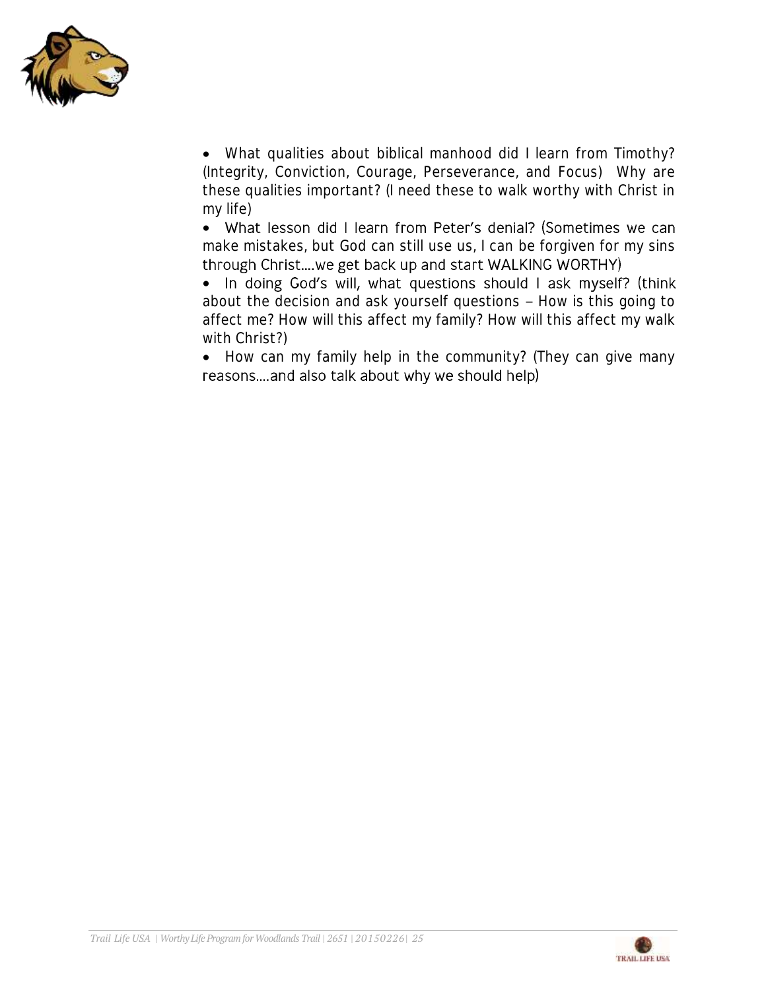

 What qualities about biblical manhood did I learn from Timothy? (Integrity, Conviction, Courage, Perseverance, and Focus) Why are these qualities important? (I need these to walk worthy with Christ in my life)

• What lesson did I learn from Peter's denial? (Sometimes we can make mistakes, but God can still use us, I can be forgiven for my sins through Christ....we get back up and start WALKING WORTHY)

• In doing God's will, what questions should I ask myself? (think about the decision and ask yourself questions - How is this going to affect me? How will this affect my family? How will this affect my walk with Christ?)

• How can my family help in the community? (They can give many reasons....and also talk about why we should help)

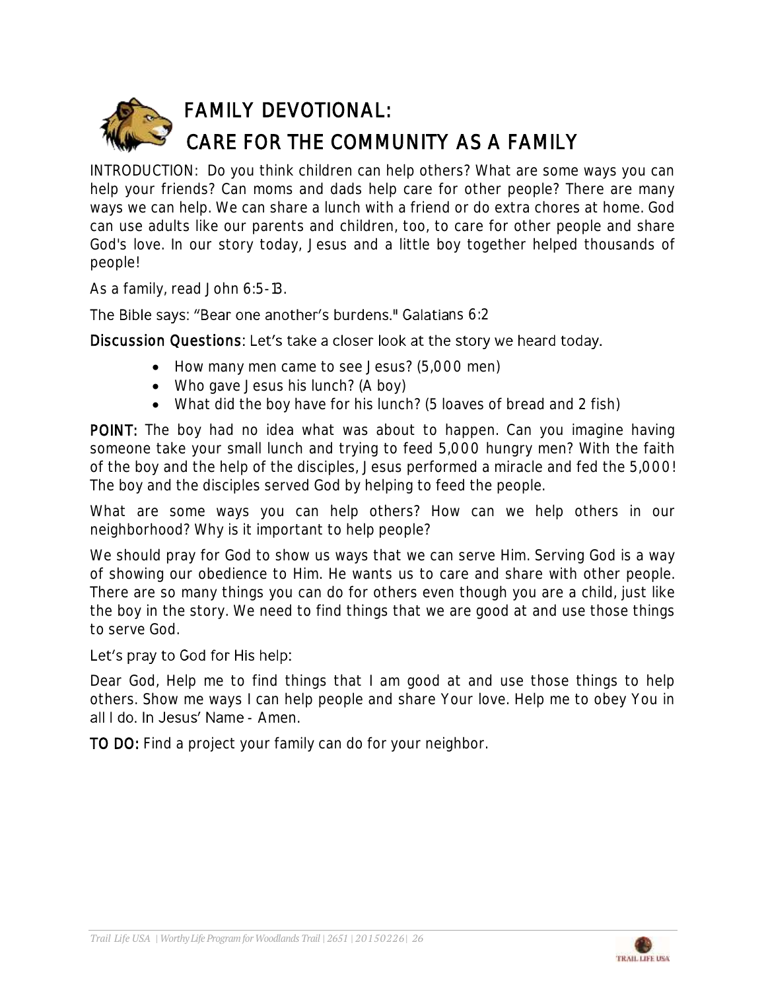# FAMILY DEVOTIONAL: CARE FOR THE COMMUNITY AS A FAMILY

INTRODUCTION: Do you think children can help others? What are some ways you can help your friends? Can moms and dads help care for other people? There are many ways we can help. We can share a lunch with a friend or do extra chores at home. God can use adults like our parents and children, too, to care for other people and share God's love. In our story today, Jesus and a little boy together helped thousands of people!

As a family, read John 6:5-13.

#### The Bible says: "Bear one another's burdens." Galatians 6:2

#### Discussion Questions: Let's take a closer look at the story we heard today.

- How many men came to see Jesus? (5,000 men)
- Who gave Jesus his lunch? (A boy)
- What did the boy have for his lunch? (5 loaves of bread and 2 fish)

POINT: The boy had no idea what was about to happen. Can you imagine having someone take your small lunch and trying to feed 5,000 hungry men? With the faith of the boy and the help of the disciples, Jesus performed a miracle and fed the 5,000! The boy and the disciples served God by helping to feed the people.

What are some ways you can help others? How can we help others in our neighborhood? Why is it important to help people?

We should pray for God to show us ways that we can serve Him. Serving God is a way of showing our obedience to Him. He wants us to care and share with other people. There are so many things you can do for others even though you are a child, just like the boy in the story. We need to find things that we are good at and use those things to serve God.

#### Let's pray to God for His help:

Dear God, Help me to find things that I am good at and use those things to help others. Show me ways I can help people and share Your love. Help me to obey You in all I do. In Jesus' Name - Amen.

TO DO: Find a project your family can do for your neighbor.